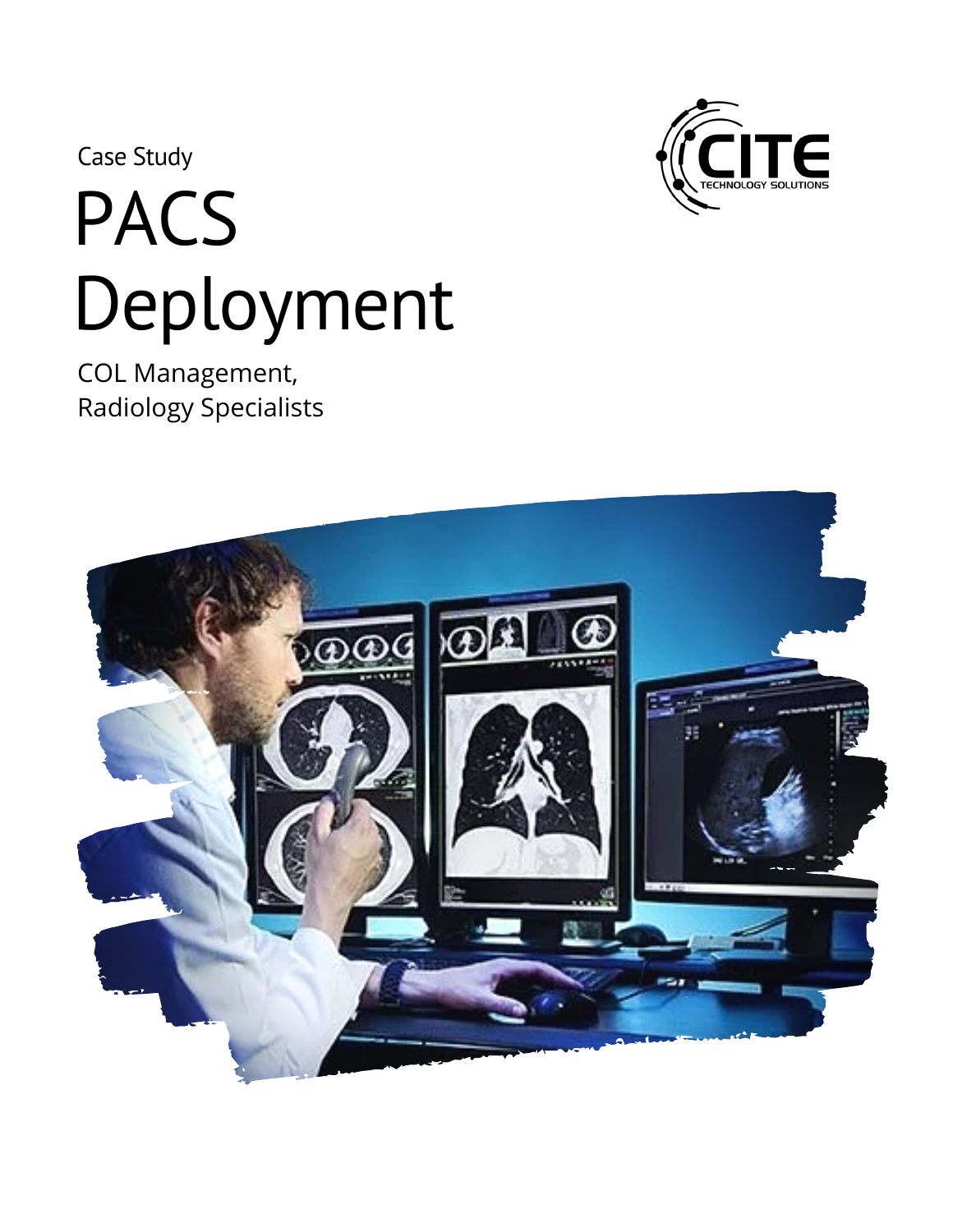Case Study

## PACS Deployment

COL Management, Radiology Specialists



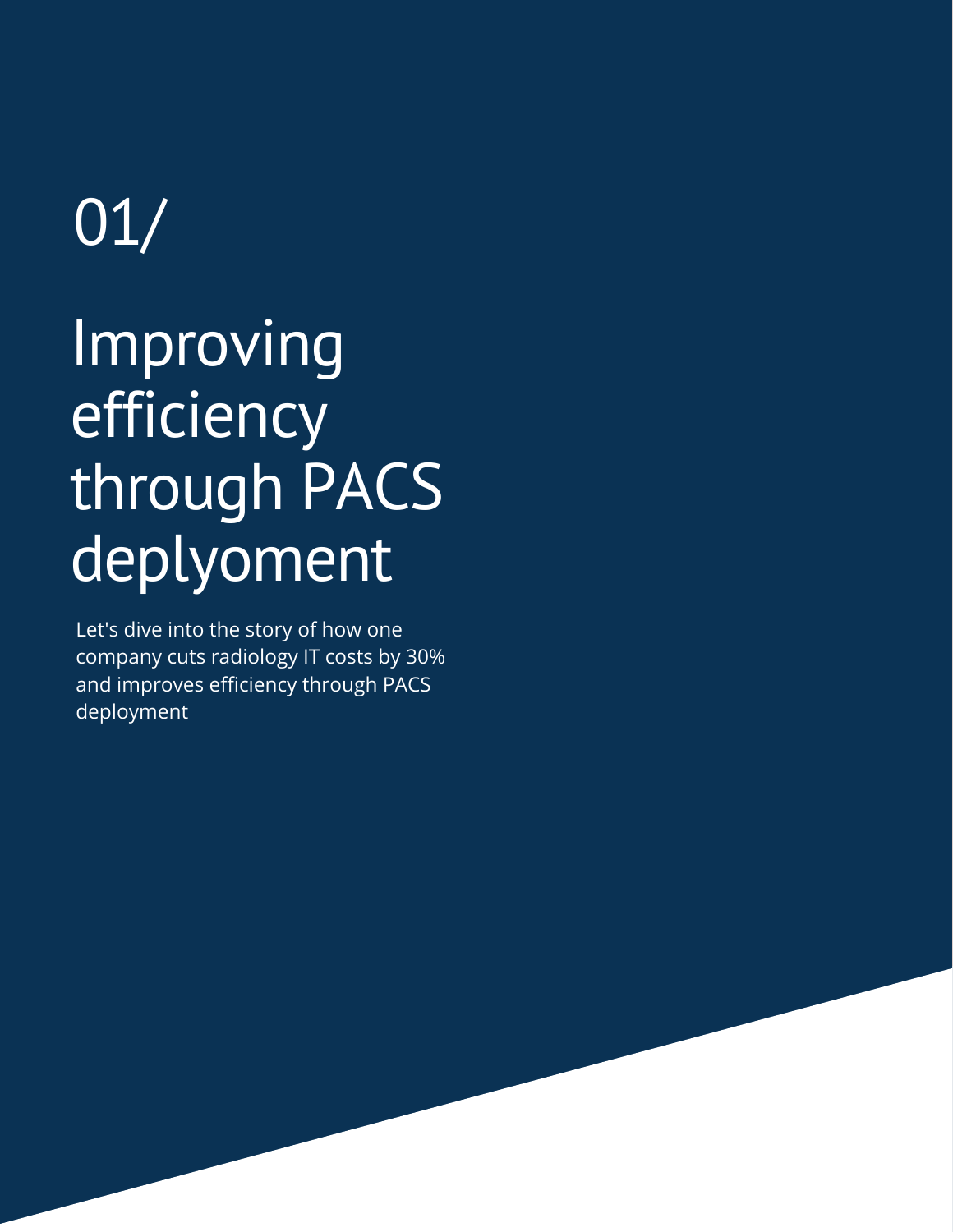## 01/

## Improving efficiency through PACS deplyoment

Let's dive into the story of how one company cuts radiology IT costs by 30% and improves efficiency through PACS deployment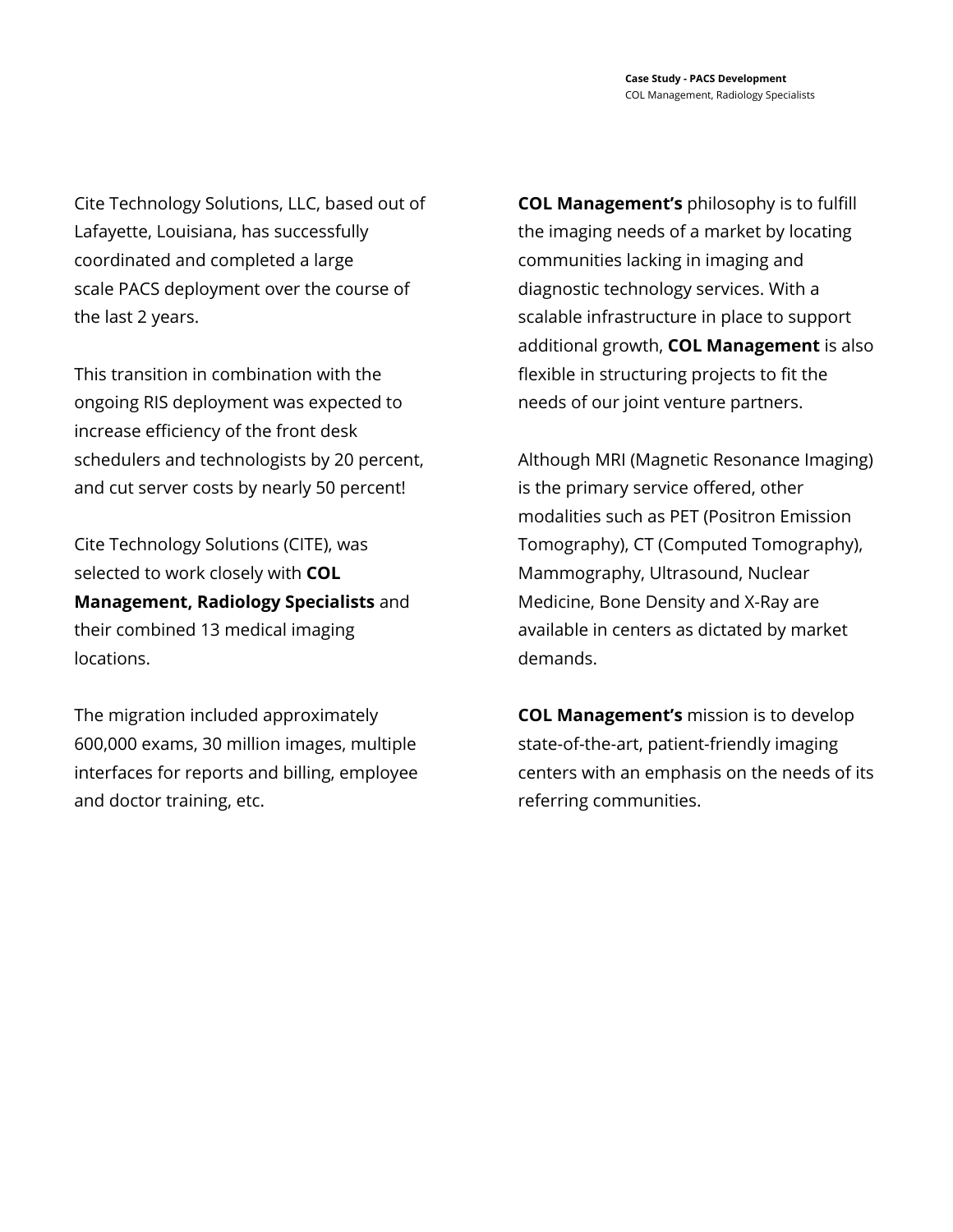Cite Technology Solutions, LLC, based out of Lafayette, Louisiana, has successfully coordinated and completed a large scale PACS deployment over the course of the last 2 years.

This transition in combination with the ongoing RIS deployment was expected to increase efficiency of the front desk schedulers and technologists by 20 percent, and cut server costs by nearly 50 percent!

Cite Technology Solutions (CITE), was selected to work closely with **COL Management, Radiology Specialists** and their combined 13 medical imaging locations.

The migration included approximately 600,000 exams, 30 million images, multiple interfaces for reports and billing, employee and doctor training, etc.

**COL Management's** philosophy is to fulfill the imaging needs of a market by locating communities lacking in imaging and diagnostic technology services. With a scalable infrastructure in place to support additional growth, **COL Management** is also flexible in structuring projects to fit the needs of our joint venture partners.

Although MRI (Magnetic Resonance Imaging) is the primary service offered, other modalities such as PET (Positron Emission Tomography), CT (Computed Tomography), Mammography, Ultrasound, Nuclear Medicine, Bone Density and X-Ray are available in centers as dictated by market demands.

**COL Management's** mission is to develop state-of-the-art, patient-friendly imaging centers with an emphasis on the needs of its referring communities.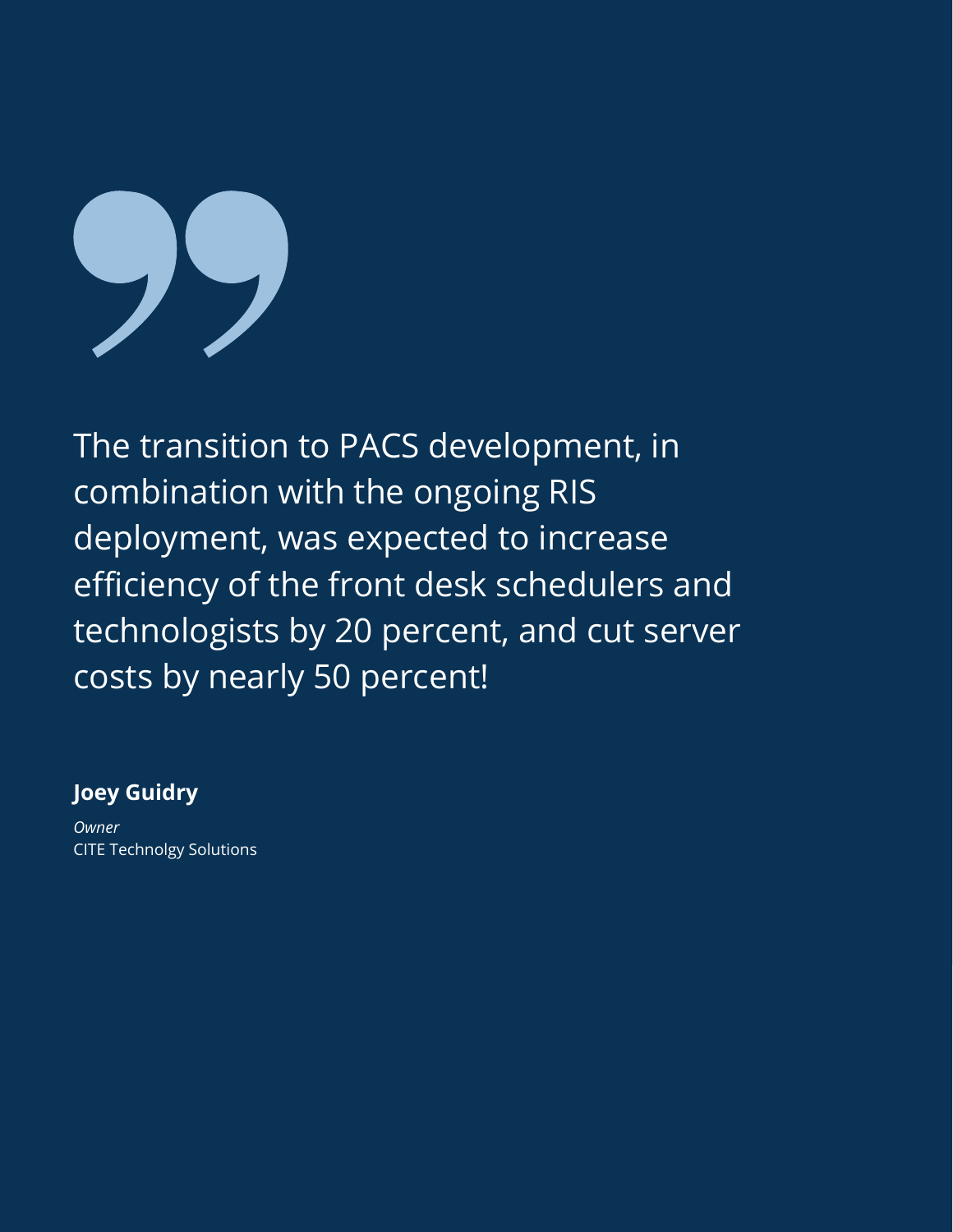

The transition to PACS development, in combination with the ongoing RIS deployment, was expected to increase efficiency of the front desk schedulers and technologists by 20 percent, and cut server costs by nearly 50 percent!

#### **Joey Guidry**

*Owner* CITE Technolgy Solutions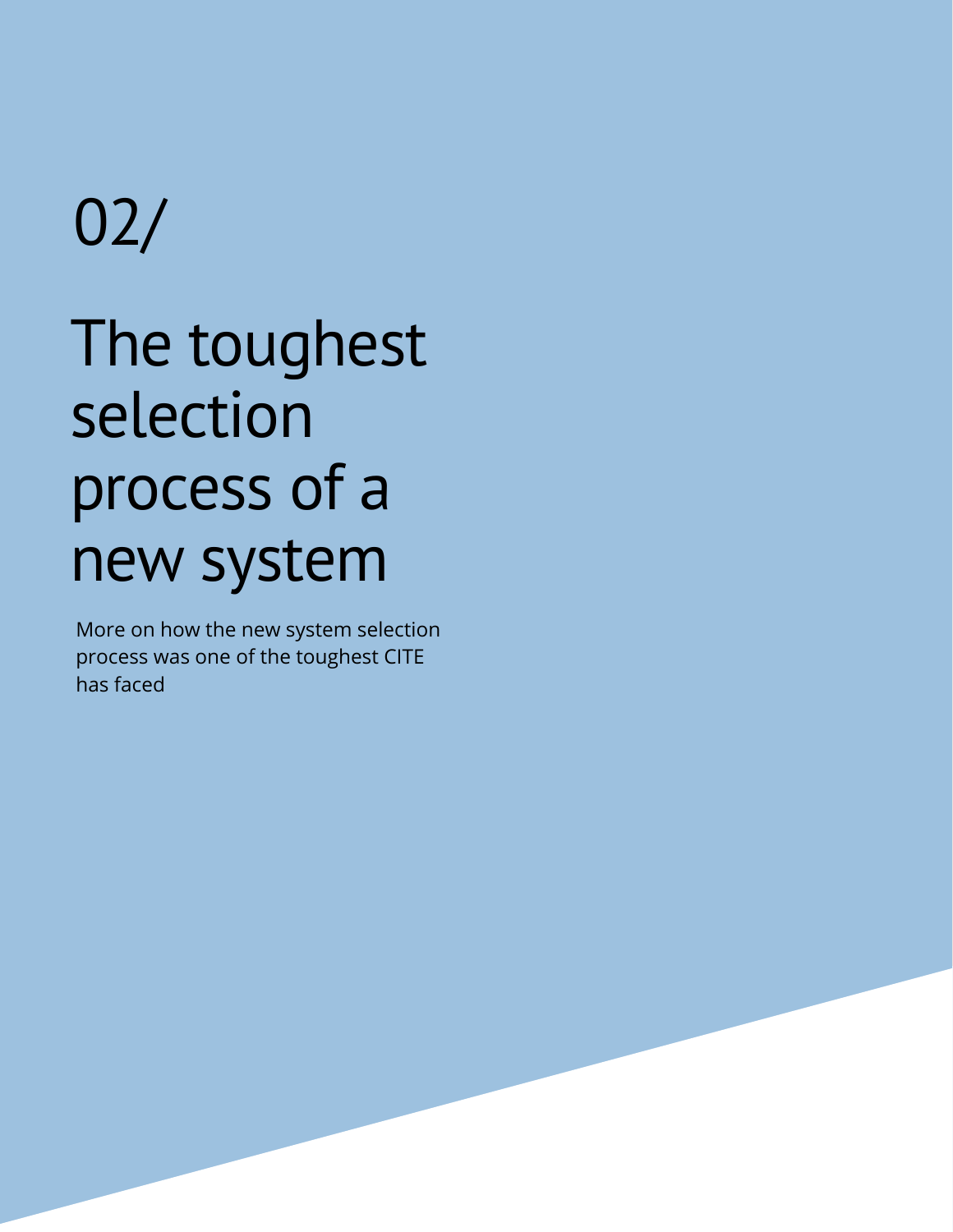## The toughest selection process of a new system 02/

More on how the new system selection process was one of the toughest CITE has faced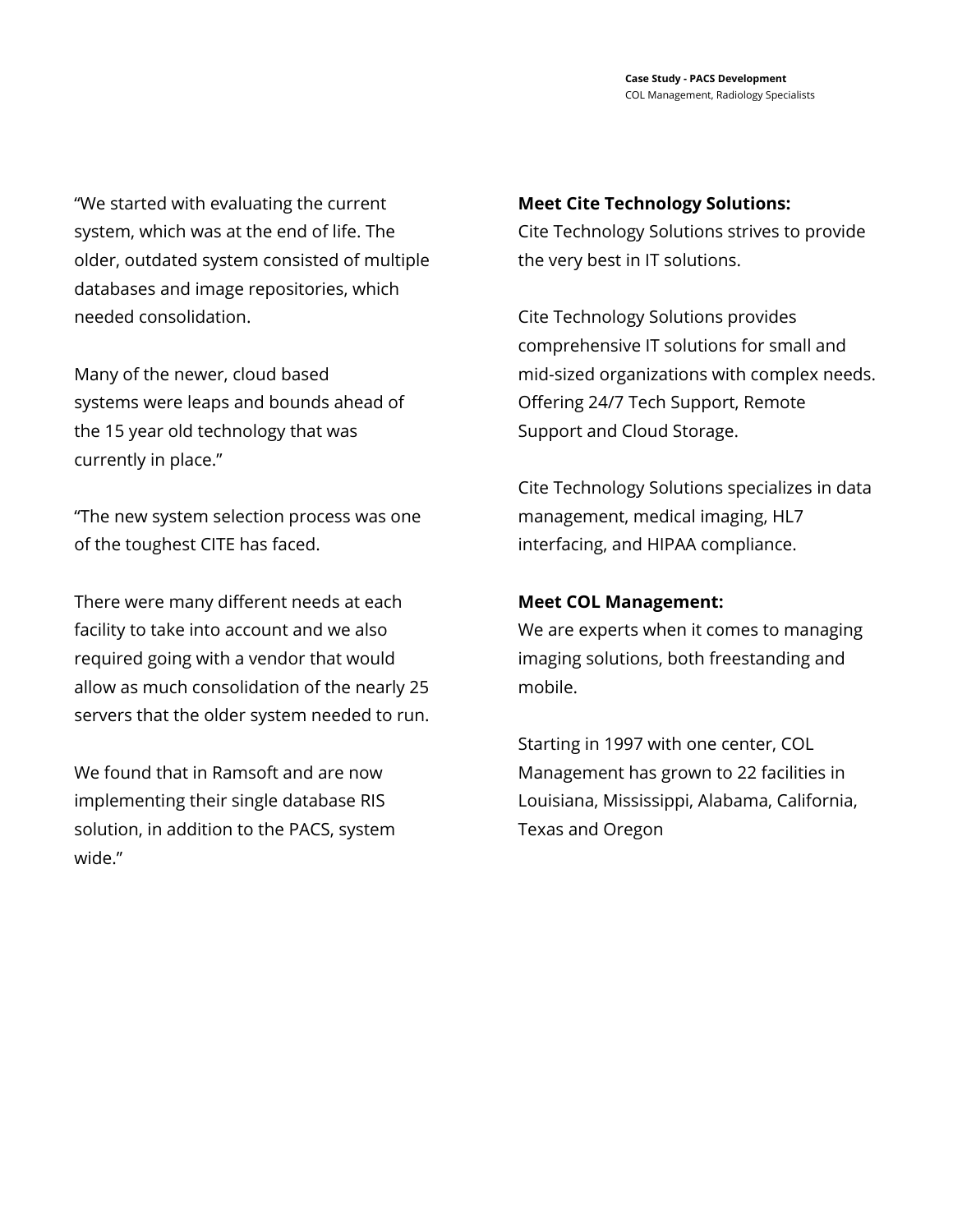"We started with evaluating the current system, which was at the end of life. The older, outdated system consisted of multiple databases and image repositories, which needed consolidation.

Many of the newer, cloud based systems were leaps and bounds ahead of the 15 year old technology that was currently in place."

"The new system selection process was one of the toughest CITE has faced.

There were many different needs at each facility to take into account and we also required going with a vendor that would allow as much consolidation of the nearly 25 servers that the older system needed to run.

We found that in Ramsoft and are now implementing their single database RIS solution, in addition to the PACS, system wide."

#### **Meet Cite Technology Solutions:**

Cite Technology Solutions strives to provide the very best in IT solutions.

Cite Technology Solutions provides comprehensive IT solutions for small and mid-sized organizations with complex needs. Offering 24/7 Tech Support, Remote Support and Cloud Storage.

Cite Technology Solutions specializes in data management, medical imaging, HL7 interfacing, and HIPAA compliance.

#### **Meet COL Management:**

We are experts when it comes to managing imaging solutions, both freestanding and mobile.

Starting in 1997 with one center, COL Management has grown to 22 facilities in Louisiana, Mississippi, Alabama, California, Texas and Oregon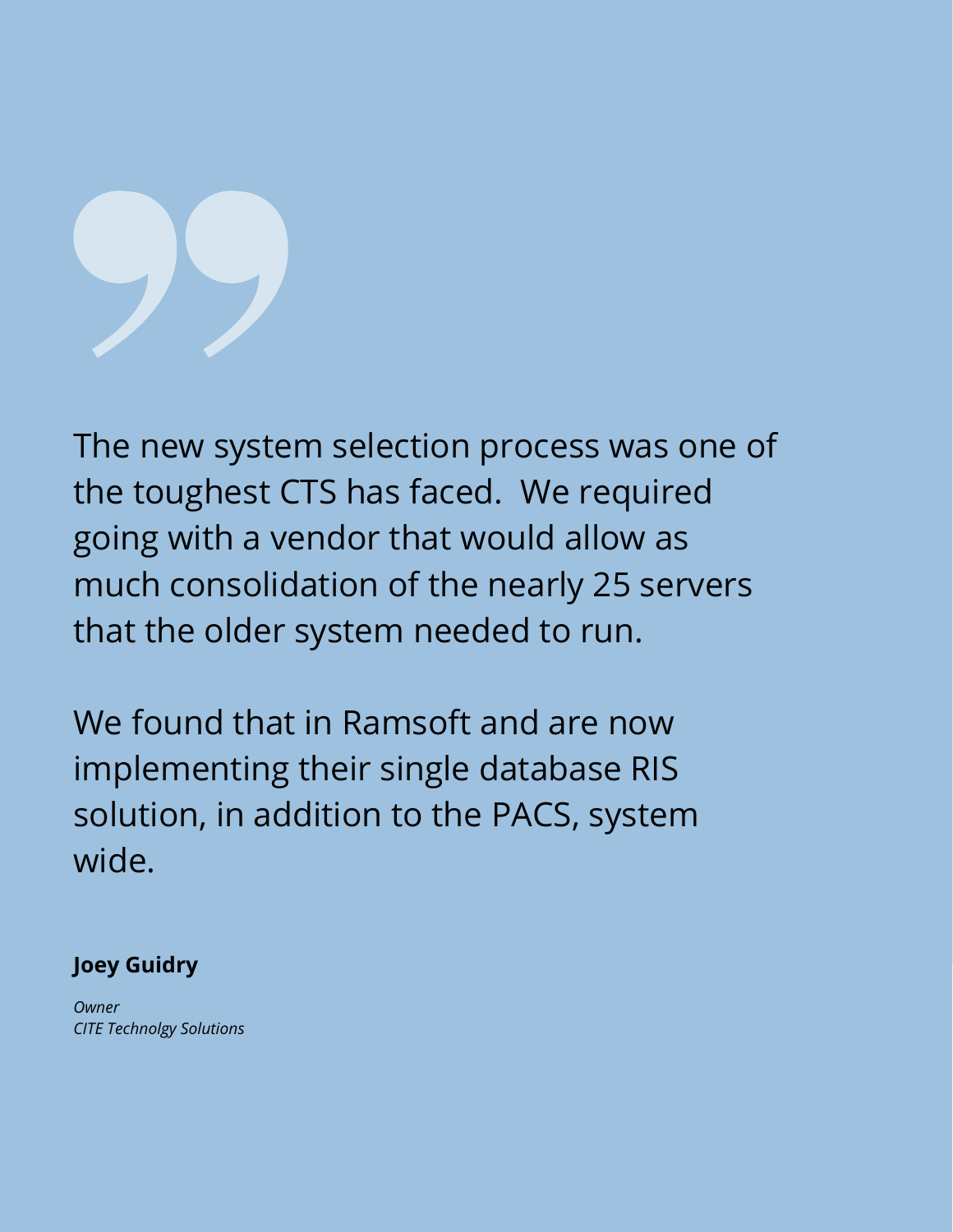The new system selection process was one of the toughest CTS has faced. We required going with a vendor that would allow as much consolidation of the nearly 25 servers that the older system needed to run.

We found that in Ramsoft and are now implementing their single database RIS solution, in addition to the PACS, system wide.

### **Joey Guidry**

*Owner CITE Technolgy Solutions*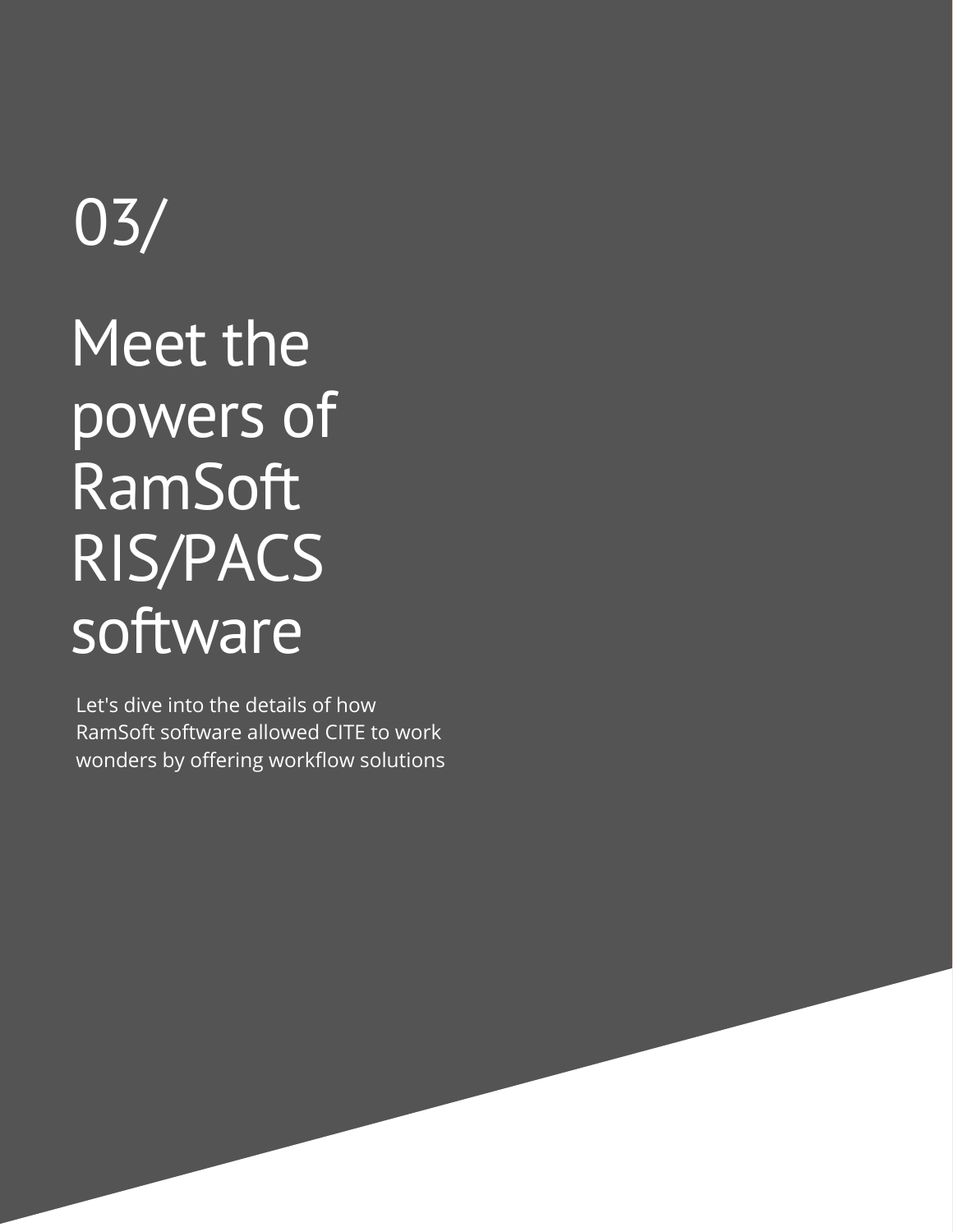## 03/

## Meet the powers of RamSoft RIS/PACS **software**

Let's dive into the details of how RamSoft software allowed CITE to work wonders by offering workflow solutions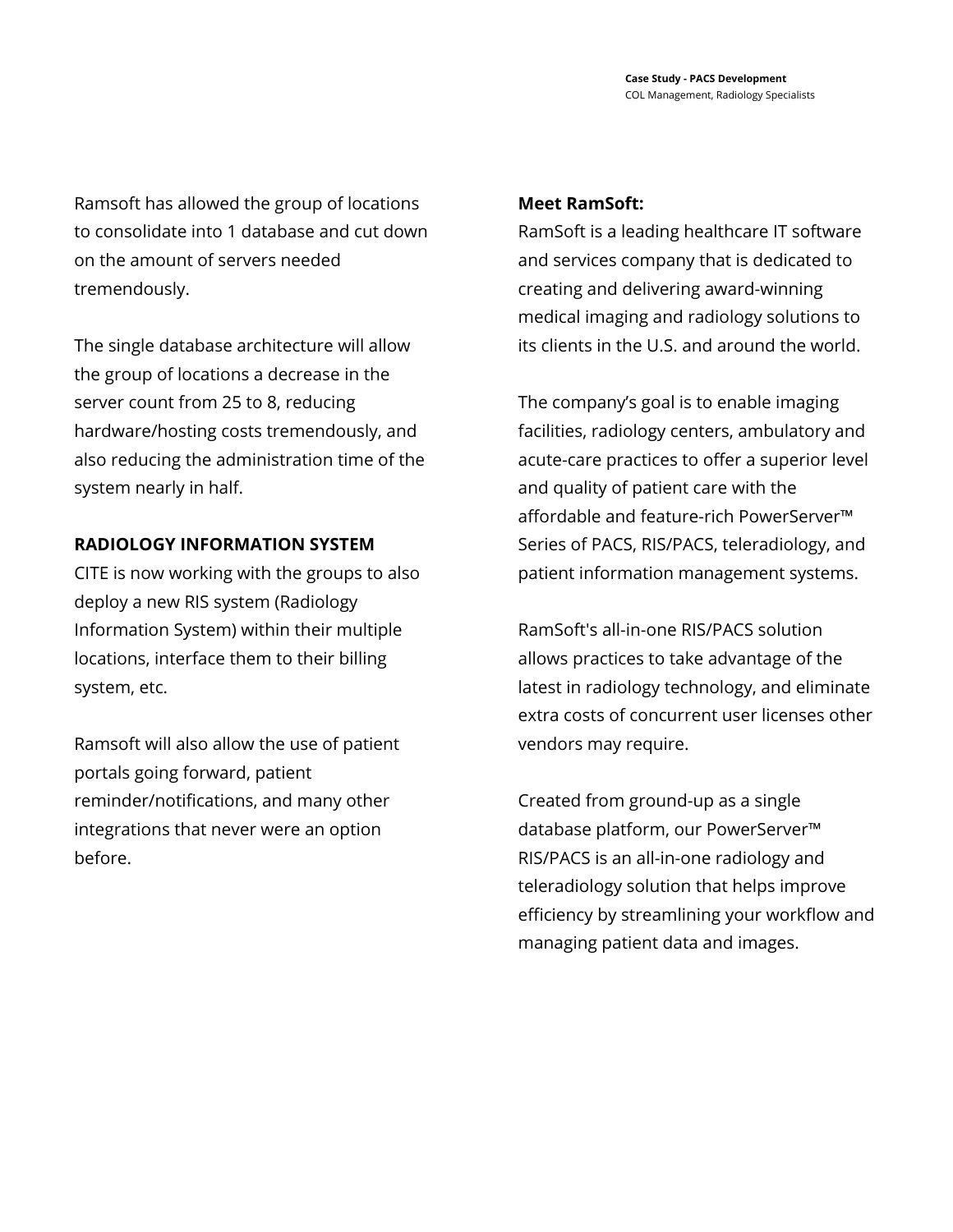Ramsoft has allowed the group of locations to consolidate into 1 database and cut down on the amount of servers needed tremendously.

The single database architecture will allow the group of locations a decrease in the server count from 25 to 8, reducing hardware/hosting costs tremendously, and also reducing the administration time of the system nearly in half.

#### **RADIOLOGY INFORMATION SYSTEM**

CITE is now working with the groups to also deploy a new RIS system (Radiology Information System) within their multiple locations, interface them to their billing system, etc.

Ramsoft will also allow the use of patient portals going forward, patient reminder/notifications, and many other integrations that never were an option before.

#### **Meet RamSoft:**

RamSoft is a leading healthcare IT software and services company that is dedicated to creating and delivering award-winning medical imaging and radiology solutions to its clients in the U.S. and around the world.

The company's goal is to enable imaging facilities, radiology centers, ambulatory and acute-care practices to offer a superior level and quality of patient care with the affordable and feature-rich PowerServer™ Series of PACS, RIS/PACS, teleradiology, and patient information management systems.

RamSoft's all-in-one RIS/PACS solution allows practices to take advantage of the latest in radiology technology, and eliminate extra costs of concurrent user licenses other vendors may require.

Created from ground-up as a single database platform, our PowerServer™ RIS/PACS is an all-in-one radiology and teleradiology solution that helps improve efficiency by streamlining your workflow and managing patient data and images.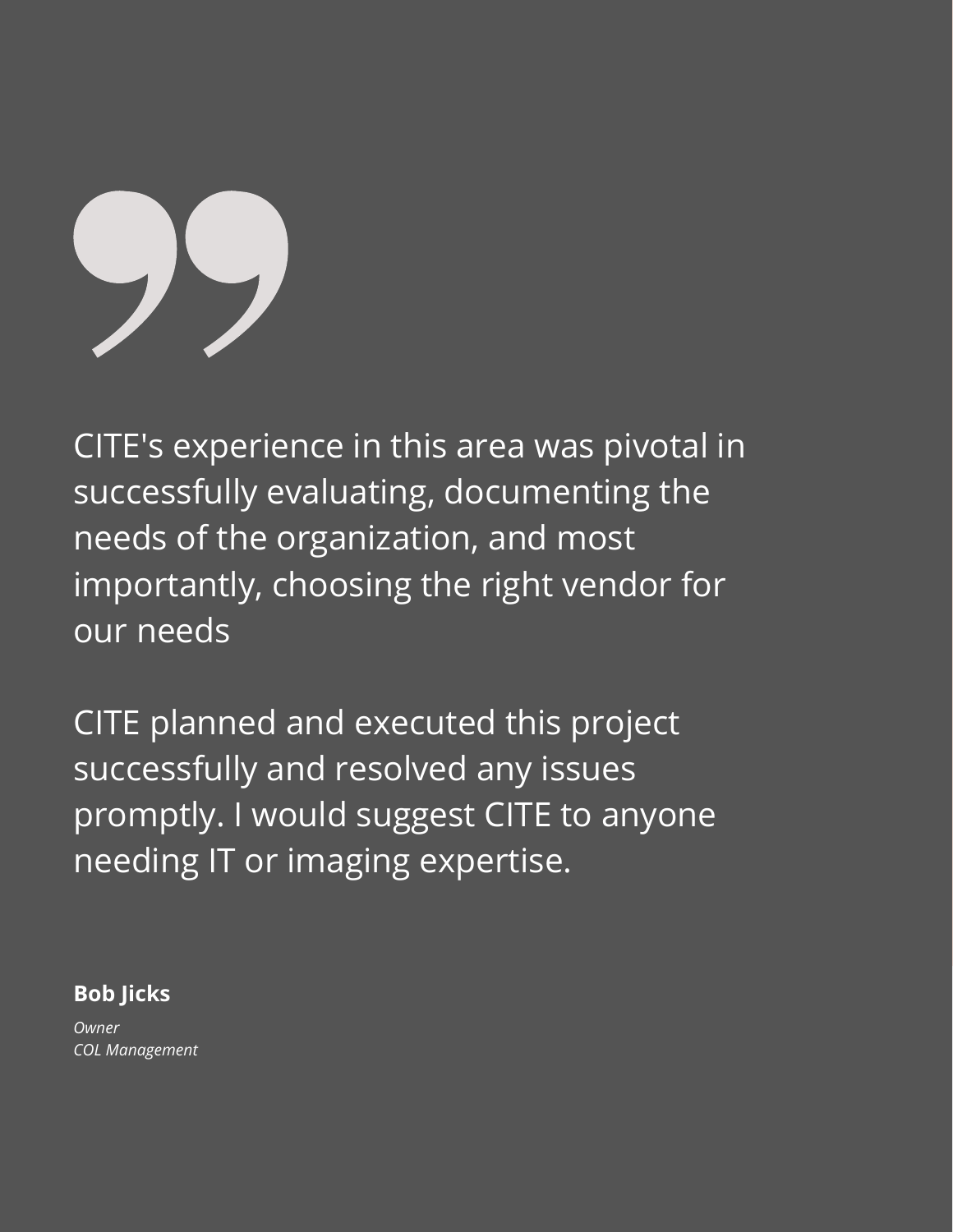# 

CITE's experience in this area was pivotal in successfully evaluating, documenting the needs of the organization, and most importantly, choosing the right vendor for our needs

CITE planned and executed this project successfully and resolved any issues promptly. I would suggest CITE to anyone needing IT or imaging expertise.

#### **Bob Jicks**

*Owner COL Management*